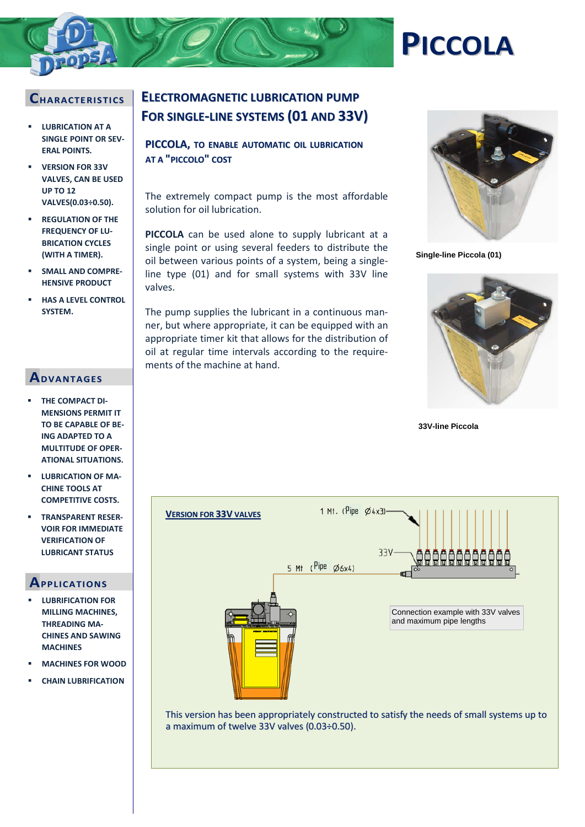## **CHARACTERI STI CS**

- **LUBRICATION AT A SINGLE POINT OR SEV-ERAL POINTS.**
- **VERSION FOR 33V VALVES, CAN BE USED UP TO 12 VALVES(0.03÷0.50).**
- **REGULATION OF THE FREQUENCY OF LU-BRICATION CYCLES (WITH A TIMER).**
- **SMALL AND COMPRE-HENSIVE PRODUCT**
- **HAS A LEVEL CONTROL SYSTEM.**

## **ADVANTAGES**

- **THE COMPACT DI-MENSIONS PERMIT IT TO BE CAPABLE OF BE-ING ADAPTED TO A MULTITUDE OF OPER-ATIONAL SITUATIONS.**
- **LUBRICATION OF MA-CHINE TOOLS AT COMPETITIVE COSTS.**
- **TRANSPARENT RESER-VOIR FOR IMMEDIATE VERIFICATION OF LUBRICANT STATUS**

### **APPLI CATIONS**

- **LUBRIFICATION FOR MILLING MACHINES, THREADING MA-CHINES AND SAWING MACHINES**
- **MACHINES FOR WOOD**
- **CHAIN LUBRIFICATION**

# **ELECTROMAGNETIC LUBRICATION PUMP FOR SINGLE-LINE SYSTEMS (01 AND 33V)**

**PICCOLA, TO ENABLE AUTOMATIC OIL LUBRICATION AT A "PICCOLO" COST**

The extremely compact pump is the most affordable solution for oil lubrication.

**PICCOLA** can be used alone to supply lubricant at a single point or using several feeders to distribute the oil between various points of a system, being a singleline type (01) and for small systems with 33V line valves.

The pump supplies the lubricant in a continuous manner, but where appropriate, it can be equipped with an appropriate timer kit that allows for the distribution of oil at regular time intervals according to the requirements of the machine at hand.



**Single-line Piccola (01)**

**PICCOLA**



**33V-line Piccola**



This version has been appropriately constructed to satisfy the needs of small systems up to a maximum of twelve  $33V$  valves  $(0.03 \div 0.50)$ .